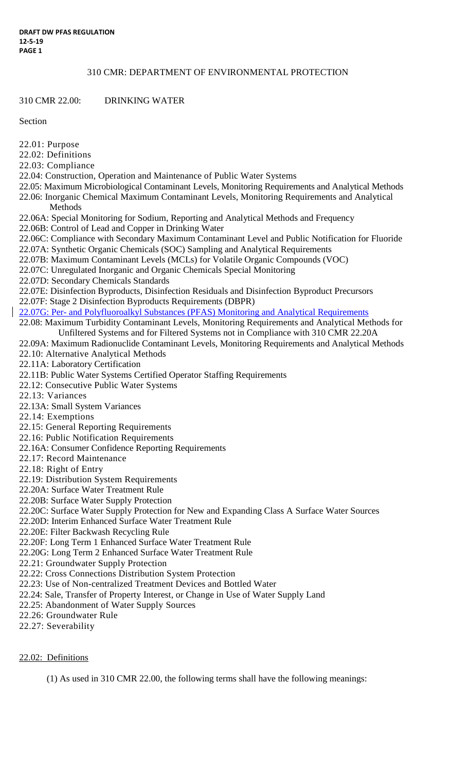#### 310 CMR: DEPARTMENT OF ENVIRONMENTAL PROTECTION

310 CMR 22.00: DRINKING WATER

Section

- 22.01: Purpose
- 22.02: Definitions
- 22.03: Compliance
- 22.04: Construction, Operation and Maintenance of Public Water Systems
- 22.05: Maximum Microbiological Contaminant Levels, Monitoring Requirements and Analytical Methods 22.06: Inorganic Chemical Maximum Contaminant Levels, Monitoring Requirements and Analytical Methods
- 22.06A: Special Monitoring for Sodium, Reporting and Analytical Methods and Frequency
- 22.06B: Control of Lead and Copper in Drinking Water
- 22.06C: Compliance with Secondary Maximum Contaminant Level and Public Notification for Fluoride
- 22.07A: Synthetic Organic Chemicals (SOC) Sampling and Analytical Requirements
- 22.07B: Maximum Contaminant Levels (MCLs) for Volatile Organic Compounds (VOC)
- 22.07C: Unregulated Inorganic and Organic Chemicals Special Monitoring
- 22.07D: Secondary Chemicals Standards
- 22.07E: Disinfection Byproducts, Disinfection Residuals and Disinfection Byproduct Precursors
- 22.07F: Stage 2 Disinfection Byproducts Requirements (DBPR)
- 22.07G: Per- and Polyfluoroalkyl Substances (PFAS) Monitoring and Analytical Requirements
	- 22.08: Maximum Turbidity Contaminant Levels, Monitoring Requirements and Analytical Methods for Unfiltered Systems and for Filtered Systems not in Compliance with 310 CMR 22.20A
	- 22.09A: Maximum Radionuclide Contaminant Levels, Monitoring Requirements and Analytical Methods 22.10: Alternative Analytical Methods
	-
	- 22.11A: Laboratory Certification
	- 22.11B: Public Water Systems Certified Operator Staffing Requirements
	- 22.12: Consecutive Public Water Systems
	- 22.13: Variances
	- 22.13A: Small System Variances
	- 22.14: Exemptions
	- 22.15: General Reporting Requirements
	- 22.16: Public Notification Requirements
	- 22.16A: Consumer Confidence Reporting Requirements
	- 22.17: Record Maintenance
	- 22.18: Right of Entry
	- 22.19: Distribution System Requirements
	- 22.20A: Surface Water Treatment Rule
	- 22.20B: Surface Water Supply Protection
	- 22.20C: Surface Water Supply Protection for New and Expanding Class A Surface Water Sources
	- 22.20D: Interim Enhanced Surface Water Treatment Rule
	- 22.20E: Filter Backwash Recycling Rule
	- 22.20F: Long Term 1 Enhanced Surface Water Treatment Rule
	- 22.20G: Long Term 2 Enhanced Surface Water Treatment Rule
	- 22.21: Groundwater Supply Protection
	- 22.22: Cross Connections Distribution System Protection
	- 22.23: Use of Non-centralized Treatment Devices and Bottled Water
	- 22.24: Sale, Transfer of Property Interest, or Change in Use of Water Supply Land
	- 22.25: Abandonment of Water Supply Sources
	- 22.26: Groundwater Rule
	- 22.27: Severability

# 22.02: Definitions

(1) As used in 310 CMR 22.00, the following terms shall have the following meanings: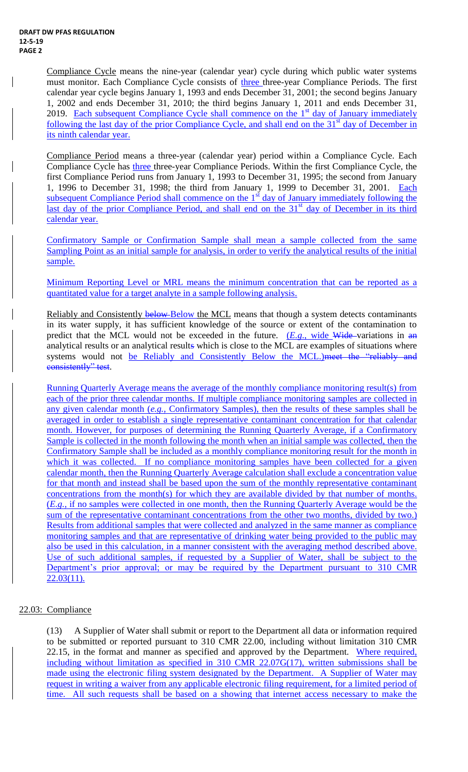Compliance Cycle means the nine-year (calendar year) cycle during which public water systems must monitor. Each Compliance Cycle consists of three three-year Compliance Periods. The first calendar year cycle begins January 1, 1993 and ends December 31, 2001; the second begins January 1, 2002 and ends December 31, 2010; the third begins January 1, 2011 and ends December 31, 2019. Each subsequent Compliance Cycle shall commence on the 1<sup>st</sup> day of January immediately following the last day of the prior Compliance Cycle, and shall end on the  $31<sup>st</sup>$  day of December in its ninth calendar year.

Compliance Period means a three-year (calendar year) period within a Compliance Cycle. Each Compliance Cycle has three three-year Compliance Periods. Within the first Compliance Cycle, the first Compliance Period runs from January 1, 1993 to December 31, 1995; the second from January 1, 1996 to December 31, 1998; the third from January 1, 1999 to December 31, 2001. Each subsequent Compliance Period shall commence on the  $1<sup>st</sup>$  day of January immediately following the last day of the prior Compliance Period, and shall end on the  $31<sup>st</sup>$  day of December in its third calendar year.

Confirmatory Sample or Confirmation Sample shall mean a sample collected from the same Sampling Point as an initial sample for analysis, in order to verify the analytical results of the initial sample.

Minimum Reporting Level or MRL means the minimum concentration that can be reported as a quantitated value for a target analyte in a sample following analysis.

Reliably and Consistently below-Below the MCL means that though a system detects contaminants in its water supply, it has sufficient knowledge of the source or extent of the contamination to predict that the MCL would not be exceeded in the future. (*E.g.*, wide Wide-variations in an analytical results or an analytical results which is close to the MCL are examples of situations where systems would not be Reliably and Consistently Below the MCL.) meet the "reliably and consistently" test.

Running Quarterly Average means the average of the monthly compliance monitoring result(s) from each of the prior three calendar months. If multiple compliance monitoring samples are collected in any given calendar month (*e.g.*, Confirmatory Samples), then the results of these samples shall be averaged in order to establish a single representative contaminant concentration for that calendar month. However, for purposes of determining the Running Quarterly Average, if a Confirmatory Sample is collected in the month following the month when an initial sample was collected, then the Confirmatory Sample shall be included as a monthly compliance monitoring result for the month in which it was collected. If no compliance monitoring samples have been collected for a given calendar month, then the Running Quarterly Average calculation shall exclude a concentration value for that month and instead shall be based upon the sum of the monthly representative contaminant concentrations from the month(s) for which they are available divided by that number of months. (*E.g.*, if no samples were collected in one month, then the Running Quarterly Average would be the sum of the representative contaminant concentrations from the other two months, divided by two.) Results from additional samples that were collected and analyzed in the same manner as compliance monitoring samples and that are representative of drinking water being provided to the public may also be used in this calculation, in a manner consistent with the averaging method described above. Use of such additional samples, if requested by a Supplier of Water, shall be subject to the Department's prior approval; or may be required by the Department pursuant to 310 CMR 22.03(11).

# 22.03: Compliance

(13) A Supplier of Water shall submit or report to the Department all data or information required to be submitted or reported pursuant to 310 CMR 22.00, including without limitation 310 CMR 22.15, in the format and manner as specified and approved by the Department. Where required, including without limitation as specified in 310 CMR 22.07G(17), written submissions shall be made using the electronic filing system designated by the Department. A Supplier of Water may request in writing a waiver from any applicable electronic filing requirement, for a limited period of time. All such requests shall be based on a showing that internet access necessary to make the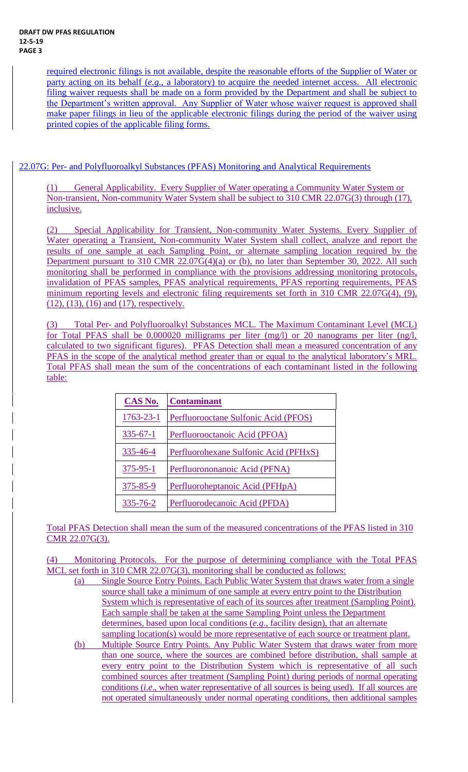required electronic filings is not available, despite the reasonable efforts of the Supplier of Water or party acting on its behalf (*e.g*., a laboratory) to acquire the needed internet access. All electronic filing waiver requests shall be made on a form provided by the Department and shall be subject to the Department's written approval. Any Supplier of Water whose waiver request is approved shall make paper filings in lieu of the applicable electronic filings during the period of the waiver using printed copies of the applicable filing forms.

22.07G: Per- and Polyfluoroalkyl Substances (PFAS) Monitoring and Analytical Requirements

(1) General Applicability. Every Supplier of Water operating a Community Water System or Non-transient, Non-community Water System shall be subject to 310 CMR 22.07G(3) through (17), inclusive.

(2) Special Applicability for Transient, Non-community Water Systems. Every Supplier of Water operating a Transient, Non-community Water System shall collect, analyze and report the results of one sample at each Sampling Point, or alternate sampling location required by the Department pursuant to 310 CMR 22.07G(4)(a) or (b), no later than September 30, 2022. All such monitoring shall be performed in compliance with the provisions addressing monitoring protocols, invalidation of PFAS samples, PFAS analytical requirements, PFAS reporting requirements, PFAS minimum reporting levels and electronic filing requirements set forth in 310 CMR 22.07G(4), (9), (12), (13), (16) and (17), respectively.

(3) Total Per- and Polyfluoroalkyl Substances MCL. The Maximum Contaminant Level (MCL) for Total PFAS shall be 0.000020 milligrams per liter (mg/l) or 20 nanograms per liter (ng/l, calculated to two significant figures). PFAS Detection shall mean a measured concentration of any PFAS in the scope of the analytical method greater than or equal to the analytical laboratory's MRL. Total PFAS shall mean the sum of the concentrations of each contaminant listed in the following table:

| CAS No.         | <b>Contaminant</b>                    |
|-----------------|---------------------------------------|
| $1763 - 23 - 1$ | Perfluorooctane Sulfonic Acid (PFOS)  |
| $335 - 67 - 1$  | Perfluorooctanoic Acid (PFOA)         |
| 335-46-4        | Perfluorohexane Sulfonic Acid (PFHxS) |
| $375 - 95 - 1$  | Perfluorononanoic Acid (PFNA)         |
| 375-85-9        | Perfluoroheptanoic Acid (PFHpA)       |
| $335 - 76 - 2$  | Perfluorodecanoic Acid (PFDA)         |

Total PFAS Detection shall mean the sum of the measured concentrations of the PFAS listed in 310 CMR 22.07G(3).

(4) Monitoring Protocols. For the purpose of determining compliance with the Total PFAS MCL set forth in 310 CMR 22.07G(3), monitoring shall be conducted as follows:

- (a) Single Source Entry Points. Each Public Water System that draws water from a single source shall take a minimum of one sample at every entry point to the Distribution System which is representative of each of its sources after treatment (Sampling Point). Each sample shall be taken at the same Sampling Point unless the Department determines, based upon local conditions (*e.g*., facility design), that an alternate sampling location(s) would be more representative of each source or treatment plant.
	- (b) Multiple Source Entry Points. Any Public Water System that draws water from more than one source, where the sources are combined before distribution, shall sample at every entry point to the Distribution System which is representative of all such combined sources after treatment (Sampling Point) during periods of normal operating conditions (*i.e*., when water representative of all sources is being used). If all sources are not operated simultaneously under normal operating conditions, then additional samples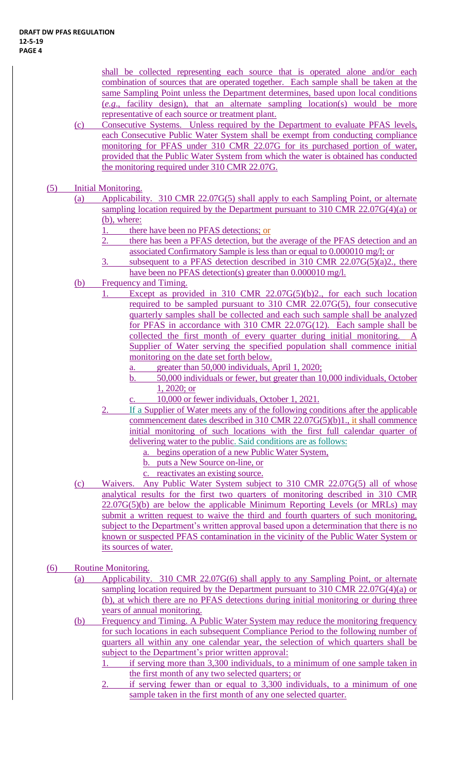shall be collected representing each source that is operated alone and/or each combination of sources that are operated together. Each sample shall be taken at the same Sampling Point unless the Department determines, based upon local conditions (*e.g*., facility design), that an alternate sampling location(s) would be more representative of each source or treatment plant.

- (c) Consecutive Systems. Unless required by the Department to evaluate PFAS levels, each Consecutive Public Water System shall be exempt from conducting compliance monitoring for PFAS under 310 CMR 22.07G for its purchased portion of water, provided that the Public Water System from which the water is obtained has conducted the monitoring required under 310 CMR 22.07G.
- (5) Initial Monitoring.
	- (a) Applicability. 310 CMR 22.07G(5) shall apply to each Sampling Point, or alternate sampling location required by the Department pursuant to 310 CMR 22.07G(4)(a) or (b), where:
		- 1. there have been no PFAS detections; or
		- 2. there has been a PFAS detection, but the average of the PFAS detection and an associated Confirmatory Sample is less than or equal to 0.000010 mg/l; or
		- 3. subsequent to a PFAS detection described in 310 CMR 22.07G(5)(a)2., there have been no PFAS detection(s) greater than 0.000010 mg/l.
	- (b) Frequency and Timing.
		- 1. Except as provided in 310 CMR 22.07G(5)(b)2., for each such location required to be sampled pursuant to 310 CMR 22.07G(5), four consecutive quarterly samples shall be collected and each such sample shall be analyzed for PFAS in accordance with 310 CMR 22.07G(12). Each sample shall be collected the first month of every quarter during initial monitoring. A Supplier of Water serving the specified population shall commence initial monitoring on the date set forth below.
			- a. greater than 50,000 individuals, April 1, 2020;
			- b. 50,000 individuals or fewer, but greater than 10,000 individuals, October 1, 2020; or
			- c. 10,000 or fewer individuals, October 1, 2021.
		- 2. If a Supplier of Water meets any of the following conditions after the applicable commencement dates described in 310 CMR 22.07G(5)(b)1., it shall commence initial monitoring of such locations with the first full calendar quarter of delivering water to the public. Said conditions are as follows:
			- a. begins operation of a new Public Water System,
			- b. puts a New Source on-line, or
			- c. reactivates an existing source.
	- (c) Waivers. Any Public Water System subject to 310 CMR 22.07G(5) all of whose analytical results for the first two quarters of monitoring described in 310 CMR  $22.07G(5)(b)$  are below the applicable Minimum Reporting Levels (or MRLs) may submit a written request to waive the third and fourth quarters of such monitoring, subject to the Department's written approval based upon a determination that there is no known or suspected PFAS contamination in the vicinity of the Public Water System or its sources of water.
- (6) Routine Monitoring.
	- (a) Applicability. 310 CMR 22.07G(6) shall apply to any Sampling Point, or alternate sampling location required by the Department pursuant to 310 CMR 22.07G(4)(a) or (b), at which there are no PFAS detections during initial monitoring or during three years of annual monitoring.
	- (b) Frequency and Timing. A Public Water System may reduce the monitoring frequency for such locations in each subsequent Compliance Period to the following number of quarters all within any one calendar year, the selection of which quarters shall be subject to the Department's prior written approval:
		- 1. if serving more than 3,300 individuals, to a minimum of one sample taken in the first month of any two selected quarters; or
		- 2. if serving fewer than or equal to 3,300 individuals, to a minimum of one sample taken in the first month of any one selected quarter.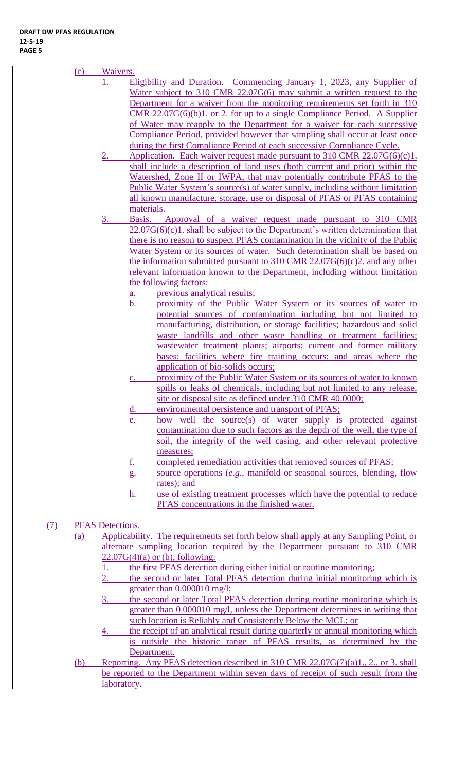- (c) Waivers.
	- 1. Eligibility and Duration. Commencing January 1, 2023, any Supplier of Water subject to 310 CMR 22.07G(6) may submit a written request to the Department for a waiver from the monitoring requirements set forth in 310 CMR 22.07G(6)(b)1. or 2. for up to a single Compliance Period. A Supplier of Water may reapply to the Department for a waiver for each successive Compliance Period, provided however that sampling shall occur at least once during the first Compliance Period of each successive Compliance Cycle.
		- 2. Application. Each waiver request made pursuant to 310 CMR 22.07G(6)(c)1. shall include a description of land uses (both current and prior) within the Watershed, Zone II or IWPA, that may potentially contribute PFAS to the Public Water System's source(s) of water supply, including without limitation all known manufacture, storage, use or disposal of PFAS or PFAS containing materials.
		- 3. Basis. Approval of a waiver request made pursuant to 310 CMR  $22.07G(6)(c)1$ . shall be subject to the Department's written determination that there is no reason to suspect PFAS contamination in the vicinity of the Public Water System or its sources of water. Such determination shall be based on the information submitted pursuant to 310 CMR 22.07 $G(6)(c)$ <sup>2</sup> and any other relevant information known to the Department, including without limitation the following factors:
			- a. previous analytical results;
			- b. proximity of the Public Water System or its sources of water to potential sources of contamination including but not limited to manufacturing, distribution, or storage facilities; hazardous and solid waste landfills and other waste handling or treatment facilities; wastewater treatment plants; airports; current and former military bases; facilities where fire training occurs; and areas where the application of bio-solids occurs;
			- proximity of the Public Water System or its sources of water to known spills or leaks of chemicals, including but not limited to any release, site or disposal site as defined under 310 CMR 40.0000;
			- d. environmental persistence and transport of PFAS;
			- e. how well the source(s) of water supply is protected against contamination due to such factors as the depth of the well, the type of soil, the integrity of the well casing, and other relevant protective measures;
			- completed remediation activities that removed sources of PFAS;
			- g. source operations (*e.g*., manifold or seasonal sources, blending, flow rates); and
			- h. use of existing treatment processes which have the potential to reduce PFAS concentrations in the finished water.

# (7) PFAS Detections.

- (a) Applicability. The requirements set forth below shall apply at any Sampling Point, or alternate sampling location required by the Department pursuant to 310 CMR  $22.07G(4)(a)$  or (b), following:
	- 1. the first PFAS detection during either initial or routine monitoring;
	- 2. the second or later Total PFAS detection during initial monitoring which is greater than  $0.000010$  mg/l;
	- 3. the second or later Total PFAS detection during routine monitoring which is greater than 0.000010 mg/l, unless the Department determines in writing that such location is Reliably and Consistently Below the MCL; or
	- 4. the receipt of an analytical result during quarterly or annual monitoring which is outside the historic range of PFAS results, as determined by the Department.
- (b) Reporting. Any PFAS detection described in 310 CMR 22.07G(7)(a)1., 2., or 3. shall be reported to the Department within seven days of receipt of such result from the laboratory.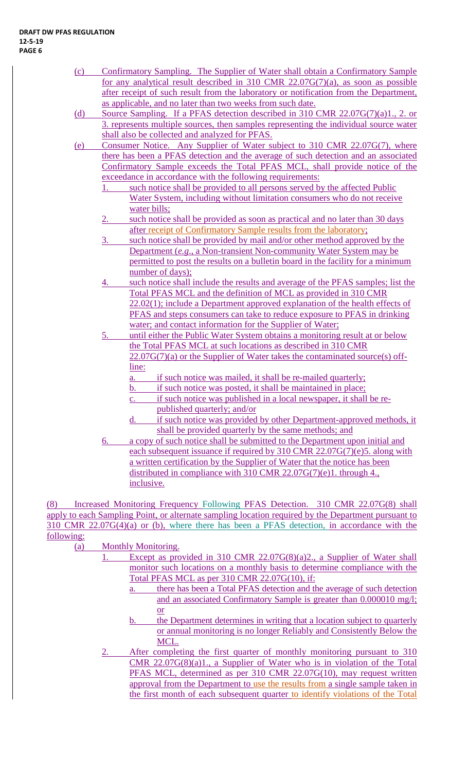- (c) Confirmatory Sampling. The Supplier of Water shall obtain a Confirmatory Sample for any analytical result described in 310 CMR 22.07G(7)(a), as soon as possible after receipt of such result from the laboratory or notification from the Department, as applicable, and no later than two weeks from such date.
- (d) Source Sampling. If a PFAS detection described in 310 CMR 22.07G(7)(a)1., 2. or 3. represents multiple sources, then samples representing the individual source water shall also be collected and analyzed for PFAS.
- (e) Consumer Notice. Any Supplier of Water subject to 310 CMR 22.07G(7), where there has been a PFAS detection and the average of such detection and an associated Confirmatory Sample exceeds the Total PFAS MCL, shall provide notice of the exceedance in accordance with the following requirements:
	- 1. such notice shall be provided to all persons served by the affected Public Water System, including without limitation consumers who do not receive water bills;
	- 2. such notice shall be provided as soon as practical and no later than 30 days after receipt of Confirmatory Sample results from the laboratory;
	- 3. such notice shall be provided by mail and/or other method approved by the Department (*e.g*., a Non-transient Non-community Water System may be permitted to post the results on a bulletin board in the facility for a minimum number of days);
	- 4. such notice shall include the results and average of the PFAS samples; list the Total PFAS MCL and the definition of MCL as provided in 310 CMR 22.02(1); include a Department approved explanation of the health effects of PFAS and steps consumers can take to reduce exposure to PFAS in drinking water; and contact information for the Supplier of Water;
	- 5. until either the Public Water System obtains a monitoring result at or below the Total PFAS MCL at such locations as described in 310 CMR  $22.07G(7)(a)$  or the Supplier of Water takes the contaminated source(s) offline:
		- a. if such notice was mailed, it shall be re-mailed quarterly;
		- b. if such notice was posted, it shall be maintained in place;
		- c. if such notice was published in a local newspaper, it shall be republished quarterly; and/or
		- d. if such notice was provided by other Department-approved methods, it shall be provided quarterly by the same methods; and
	- 6. a copy of such notice shall be submitted to the Department upon initial and each subsequent issuance if required by 310 CMR 22.07G(7)(e)5. along with a written certification by the Supplier of Water that the notice has been distributed in compliance with 310 CMR 22.07G(7)(e)1. through 4., inclusive.

(8) Increased Monitoring Frequency Following PFAS Detection. 310 CMR 22.07G(8) shall apply to each Sampling Point, or alternate sampling location required by the Department pursuant to 310 CMR 22.07G(4)(a) or (b), where there has been a PFAS detection, in accordance with the following:

- (a) Monthly Monitoring.
	- 1. Except as provided in 310 CMR 22.07G(8)(a)2., a Supplier of Water shall monitor such locations on a monthly basis to determine compliance with the Total PFAS MCL as per 310 CMR 22.07G(10), if:
		- a. there has been a Total PFAS detection and the average of such detection and an associated Confirmatory Sample is greater than 0.000010 mg/l; or
		- b. the Department determines in writing that a location subject to quarterly or annual monitoring is no longer Reliably and Consistently Below the MCL.
	- 2. After completing the first quarter of monthly monitoring pursuant to 310 CMR 22.07G(8)(a)1., a Supplier of Water who is in violation of the Total PFAS MCL, determined as per 310 CMR 22.07G(10), may request written approval from the Department to use the results from a single sample taken in the first month of each subsequent quarter to identify violations of the Total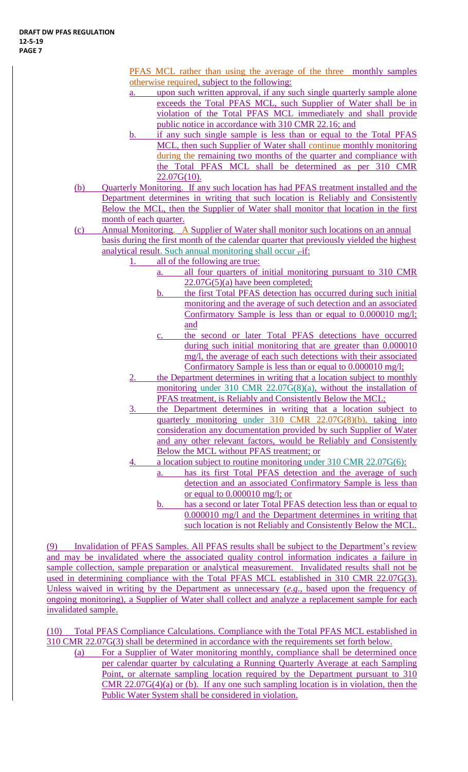PFAS MCL rather than using the average of the three monthly samples otherwise required, subject to the following:

- a. upon such written approval, if any such single quarterly sample alone exceeds the Total PFAS MCL, such Supplier of Water shall be in violation of the Total PFAS MCL immediately and shall provide public notice in accordance with 310 CMR 22.16; and
- b. if any such single sample is less than or equal to the Total PFAS MCL, then such Supplier of Water shall continue monthly monitoring during the remaining two months of the quarter and compliance with the Total PFAS MCL shall be determined as per 310 CMR  $22.07G(10)$ .
- (b) Quarterly Monitoring. If any such location has had PFAS treatment installed and the Department determines in writing that such location is Reliably and Consistently Below the MCL, then the Supplier of Water shall monitor that location in the first month of each quarter.
- (c) Annual Monitoring. A Supplier of Water shall monitor such locations on an annual basis during the first month of the calendar quarter that previously yielded the highest analytical result. Such annual monitoring shall occur  $\frac{1}{2}$ if:
	- 1. all of the following are true:
		- a. all four quarters of initial monitoring pursuant to 310 CMR 22.07G(5)(a) have been completed;
		- b. the first Total PFAS detection has occurred during such initial monitoring and the average of such detection and an associated Confirmatory Sample is less than or equal to 0.000010 mg/l; and
		- the second or later Total PFAS detections have occurred during such initial monitoring that are greater than 0.000010 mg/l, the average of each such detections with their associated Confirmatory Sample is less than or equal to 0.000010 mg/l;
	- the Department determines in writing that a location subject to monthly monitoring under 310 CMR 22.07G(8)(a), without the installation of PFAS treatment, is Reliably and Consistently Below the MCL;
	- 3. the Department determines in writing that a location subject to quarterly monitoring under 310 CMR 22.07G(8)(b), taking into consideration any documentation provided by such Supplier of Water and any other relevant factors, would be Reliably and Consistently Below the MCL without PFAS treatment; or
	- 4. a location subject to routine monitoring under 310 CMR 22.07G(6):
		- has its first Total PFAS detection and the average of such detection and an associated Confirmatory Sample is less than or equal to 0.000010 mg/l; or
			- b. has a second or later Total PFAS detection less than or equal to 0.000010 mg/l and the Department determines in writing that such location is not Reliably and Consistently Below the MCL.

(9) Invalidation of PFAS Samples. All PFAS results shall be subject to the Department's review and may be invalidated where the associated quality control information indicates a failure in sample collection, sample preparation or analytical measurement. Invalidated results shall not be used in determining compliance with the Total PFAS MCL established in 310 CMR 22.07G(3). Unless waived in writing by the Department as unnecessary (*e.g*., based upon the frequency of ongoing monitoring), a Supplier of Water shall collect and analyze a replacement sample for each invalidated sample.

(10) Total PFAS Compliance Calculations. Compliance with the Total PFAS MCL established in 310 CMR 22.07G(3) shall be determined in accordance with the requirements set forth below.

(a) For a Supplier of Water monitoring monthly, compliance shall be determined once per calendar quarter by calculating a Running Quarterly Average at each Sampling Point, or alternate sampling location required by the Department pursuant to 310 CMR  $22.07G(4)(a)$  or (b). If any one such sampling location is in violation, then the Public Water System shall be considered in violation.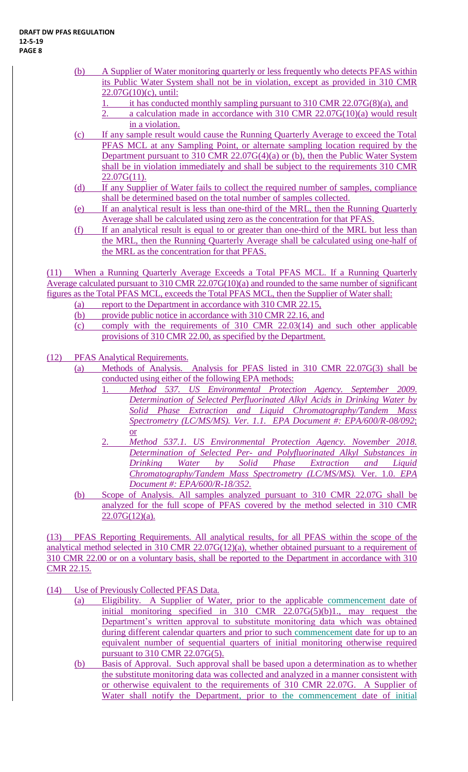- (b) A Supplier of Water monitoring quarterly or less frequently who detects PFAS within its Public Water System shall not be in violation, except as provided in 310 CMR  $22.07G(10)(c)$ , until:
	- 1. it has conducted monthly sampling pursuant to 310 CMR 22.07G(8)(a), and
	- 2. a calculation made in accordance with 310 CMR 22.07G(10)(a) would result in a violation.
- (c) If any sample result would cause the Running Quarterly Average to exceed the Total PFAS MCL at any Sampling Point, or alternate sampling location required by the Department pursuant to 310 CMR 22.07G(4)(a) or (b), then the Public Water System shall be in violation immediately and shall be subject to the requirements 310 CMR  $22.07G(11)$ .
- (d) If any Supplier of Water fails to collect the required number of samples, compliance shall be determined based on the total number of samples collected.
- (e) If an analytical result is less than one-third of the MRL, then the Running Quarterly Average shall be calculated using zero as the concentration for that PFAS.
- (f) If an analytical result is equal to or greater than one-third of the MRL but less than the MRL, then the Running Quarterly Average shall be calculated using one-half of the MRL as the concentration for that PFAS.

(11) When a Running Quarterly Average Exceeds a Total PFAS MCL. If a Running Quarterly Average calculated pursuant to 310 CMR 22.07G(10)(a) and rounded to the same number of significant figures as the Total PFAS MCL, exceeds the Total PFAS MCL, then the Supplier of Water shall:

- (a) report to the Department in accordance with 310 CMR 22.15,
- (b) provide public notice in accordance with 310 CMR 22.16, and
- (c) comply with the requirements of 310 CMR 22.03(14) and such other applicable provisions of 310 CMR 22.00, as specified by the Department.

(12) PFAS Analytical Requirements.

- (a) Methods of Analysis. Analysis for PFAS listed in 310 CMR 22.07G(3) shall be conducted using either of the following EPA methods:
	- 1. *Method 537. US Environmental Protection Agency. September 2009*. *Determination of Selected Perfluorinated Alkyl Acids in Drinking Water by Solid Phase Extraction and Liquid Chromatography/Tandem Mass Spectrometry (LC/MS/MS). Ver. 1.1. EPA Document #: EPA/600/R-08/092*; or
	- 2. *Method 537.1. US Environmental Protection Agency. November 2018. Determination of Selected Per- and Polyfluorinated Alkyl Substances in Drinking Water by Solid Phase Extraction and Liquid Chromatography/Tandem Mass Spectrometry (LC/MS/MS).* Ver. 1.0. *EPA Document #: EPA/600/R-18/352.*
- (b) Scope of Analysis. All samples analyzed pursuant to 310 CMR 22.07G shall be analyzed for the full scope of PFAS covered by the method selected in 310 CMR  $22.07G(12)(a)$ .

(13) PFAS Reporting Requirements. All analytical results, for all PFAS within the scope of the analytical method selected in 310 CMR 22.07G(12)(a), whether obtained pursuant to a requirement of 310 CMR 22.00 or on a voluntary basis, shall be reported to the Department in accordance with 310 CMR 22.15.

- (14) Use of Previously Collected PFAS Data.
	- (a) Eligibility. A Supplier of Water, prior to the applicable commencement date of initial monitoring specified in 310 CMR 22.07G(5)(b)1., may request the Department's written approval to substitute monitoring data which was obtained during different calendar quarters and prior to such commencement date for up to an equivalent number of sequential quarters of initial monitoring otherwise required pursuant to 310 CMR 22.07G(5).
	- (b) Basis of Approval. Such approval shall be based upon a determination as to whether the substitute monitoring data was collected and analyzed in a manner consistent with or otherwise equivalent to the requirements of 310 CMR 22.07G. A Supplier of Water shall notify the Department, prior to the commencement date of initial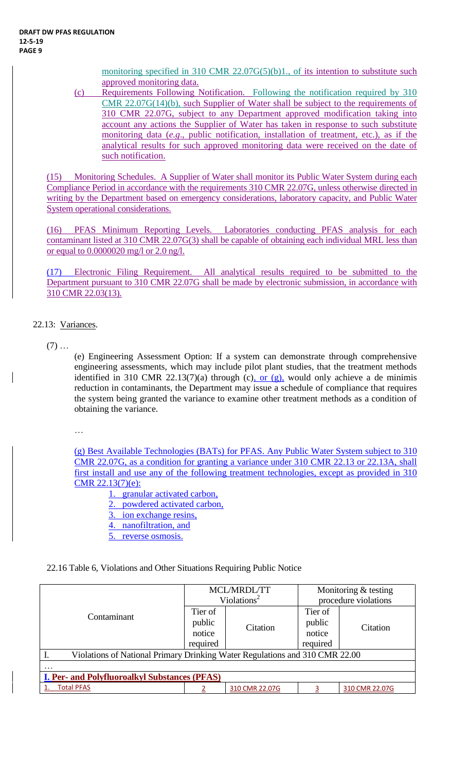monitoring specified in 310 CMR 22.07G(5)(b)1., of its intention to substitute such approved monitoring data.

(c) Requirements Following Notification. Following the notification required by 310 CMR 22.07G(14)(b), such Supplier of Water shall be subject to the requirements of 310 CMR 22.07G, subject to any Department approved modification taking into account any actions the Supplier of Water has taken in response to such substitute monitoring data (*e.g*., public notification, installation of treatment, etc.), as if the analytical results for such approved monitoring data were received on the date of such notification.

(15) Monitoring Schedules. A Supplier of Water shall monitor its Public Water System during each Compliance Period in accordance with the requirements 310 CMR 22.07G, unless otherwise directed in writing by the Department based on emergency considerations, laboratory capacity, and Public Water System operational considerations.

(16) PFAS Minimum Reporting Levels. Laboratories conducting PFAS analysis for each contaminant listed at 310 CMR 22.07G(3) shall be capable of obtaining each individual MRL less than or equal to 0.0000020 mg/l or 2.0 ng/l.

(17) Electronic Filing Requirement. All analytical results required to be submitted to the Department pursuant to 310 CMR 22.07G shall be made by electronic submission, in accordance with 310 CMR 22.03(13).

# 22.13: Variances.

 $(7)$  ...

 $\overline{\phantom{a}}$ 

(e) Engineering Assessment Option: If a system can demonstrate through comprehensive engineering assessments, which may include pilot plant studies, that the treatment methods identified in 310 CMR 22.13(7)(a) through (c), or  $(g)$ , would only achieve a de minimis reduction in contaminants, the Department may issue a schedule of compliance that requires the system being granted the variance to examine other treatment methods as a condition of obtaining the variance.

…

(g) Best Available Technologies (BATs) for PFAS. Any Public Water System subject to 310 CMR 22.07G, as a condition for granting a variance under 310 CMR 22.13 or 22.13A, shall first install and use any of the following treatment technologies, except as provided in 310 CMR 22.13(7)(e):

1. granular activated carbon,

- 2. powdered activated carbon,
- 3. ion exchange resins,
- 4. nanofiltration, and
- 5. reverse osmosis.

# 22.16 Table 6, Violations and Other Situations Requiring Public Notice

|                                                                             |                             | <b>MCL/MRDL/TT</b><br>Violations <sup>2</sup> | Monitoring & testing<br>procedure violations |                |  |  |
|-----------------------------------------------------------------------------|-----------------------------|-----------------------------------------------|----------------------------------------------|----------------|--|--|
| Contaminant                                                                 | Tier of<br>public<br>notice | Citation                                      | Tier of<br>public<br>notice                  | Citation       |  |  |
| Violations of National Primary Drinking Water Regulations and 310 CMR 22.00 | required                    |                                               | required                                     |                |  |  |
| $\cdot\cdot\cdot$                                                           |                             |                                               |                                              |                |  |  |
| <b>I. Per- and Polyfluoroalkyl Substances (PFAS)</b>                        |                             |                                               |                                              |                |  |  |
| <b>Total PFAS</b>                                                           |                             | 310 CMR 22.07G                                |                                              | 310 CMR 22.07G |  |  |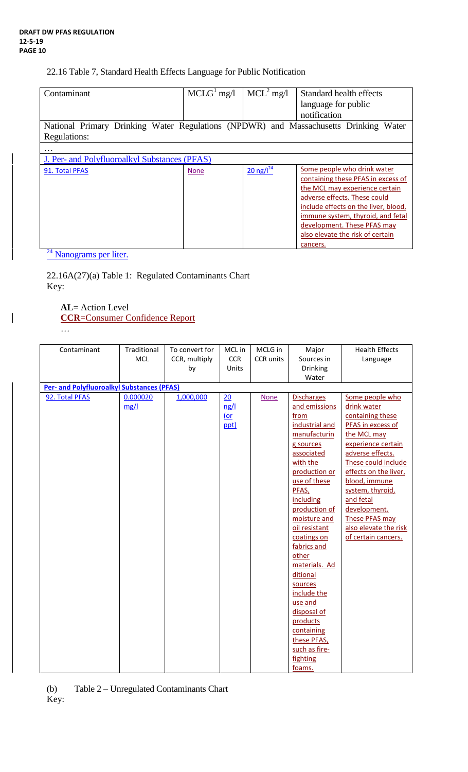#### 22.16 Table 7, Standard Health Effects Language for Public Notification

| Contaminant                                                                             | $MCLG1$ mg/l | $MCL2$ mg/l                     | Standard health effects                                                                                                                                                                                                                                                             |  |  |  |
|-----------------------------------------------------------------------------------------|--------------|---------------------------------|-------------------------------------------------------------------------------------------------------------------------------------------------------------------------------------------------------------------------------------------------------------------------------------|--|--|--|
|                                                                                         |              |                                 | language for public                                                                                                                                                                                                                                                                 |  |  |  |
|                                                                                         |              |                                 | notification                                                                                                                                                                                                                                                                        |  |  |  |
| National Primary Drinking Water Regulations (NPDWR) and Massachusetts Drinking<br>Water |              |                                 |                                                                                                                                                                                                                                                                                     |  |  |  |
| Regulations:                                                                            |              |                                 |                                                                                                                                                                                                                                                                                     |  |  |  |
|                                                                                         |              |                                 |                                                                                                                                                                                                                                                                                     |  |  |  |
| J. Per- and Polyfluoroalkyl Substances (PFAS)                                           |              |                                 |                                                                                                                                                                                                                                                                                     |  |  |  |
| 91. Total PFAS                                                                          | <b>None</b>  | $20 \frac{\text{ng}}{\text{m}}$ | Some people who drink water<br>containing these PFAS in excess of<br>the MCL may experience certain<br>adverse effects. These could<br>include effects on the liver, blood,<br>immune system, thyroid, and fetal<br>development. These PFAS may<br>also elevate the risk of certain |  |  |  |
| $\mathcal{L}$                                                                           |              |                                 | cancers.                                                                                                                                                                                                                                                                            |  |  |  |

 $\frac{24}{24}$  Nanograms per liter.

22.16A(27)(a) Table 1: Regulated Contaminants Chart Key:

# **AL**= Action Level **CCR**=Consumer Confidence Report

…

 $\mathbf{I}$ 

| Contaminant                                       | Traditional | To convert for | MCL in     | MCLG in          | Major             | <b>Health Effects</b> |  |
|---------------------------------------------------|-------------|----------------|------------|------------------|-------------------|-----------------------|--|
|                                                   | <b>MCL</b>  | CCR, multiply  | <b>CCR</b> | <b>CCR</b> units | Sources in        | Language              |  |
|                                                   |             | by             | Units      |                  | Drinking          |                       |  |
|                                                   |             |                |            |                  | Water             |                       |  |
| <b>Per- and Polyfluoroalkyl Substances (PFAS)</b> |             |                |            |                  |                   |                       |  |
| 92. Total PFAS                                    | 0.000020    | 1,000,000      | 20         | <b>None</b>      | <b>Discharges</b> | Some people who       |  |
|                                                   | mg/l        |                | ng/l       |                  | and emissions     | drink water           |  |
|                                                   |             |                | $($ or     |                  | from              | containing these      |  |
|                                                   |             |                | ppt)       |                  | industrial and    | PFAS in excess of     |  |
|                                                   |             |                |            |                  | manufacturin      | the MCL may           |  |
|                                                   |             |                |            |                  | g sources         | experience certain    |  |
|                                                   |             |                |            |                  | associated        | adverse effects.      |  |
|                                                   |             |                |            |                  | with the          | These could include   |  |
|                                                   |             |                |            |                  | production or     | effects on the liver, |  |
|                                                   |             |                |            |                  | use of these      | blood, immune         |  |
|                                                   |             |                |            |                  | PFAS,             | system, thyroid,      |  |
|                                                   |             |                |            |                  | including         | and fetal             |  |
|                                                   |             |                |            |                  | production of     | development.          |  |
|                                                   |             |                |            |                  | moisture and      | These PFAS may        |  |
|                                                   |             |                |            |                  | oil resistant     | also elevate the risk |  |
|                                                   |             |                |            |                  | coatings on       | of certain cancers.   |  |
|                                                   |             |                |            |                  | fabrics and       |                       |  |
|                                                   |             |                |            |                  | other             |                       |  |
|                                                   |             |                |            |                  | materials. Ad     |                       |  |
|                                                   |             |                |            |                  | ditional          |                       |  |
|                                                   |             |                |            |                  | sources           |                       |  |
|                                                   |             |                |            |                  | include the       |                       |  |
|                                                   |             |                |            |                  | use and           |                       |  |
|                                                   |             |                |            |                  | disposal of       |                       |  |
|                                                   |             |                |            |                  | products          |                       |  |
|                                                   |             |                |            |                  | containing        |                       |  |
|                                                   |             |                |            |                  | these PFAS,       |                       |  |
|                                                   |             |                |            |                  | such as fire-     |                       |  |
|                                                   |             |                |            |                  | fighting          |                       |  |
|                                                   |             |                |            |                  | foams.            |                       |  |